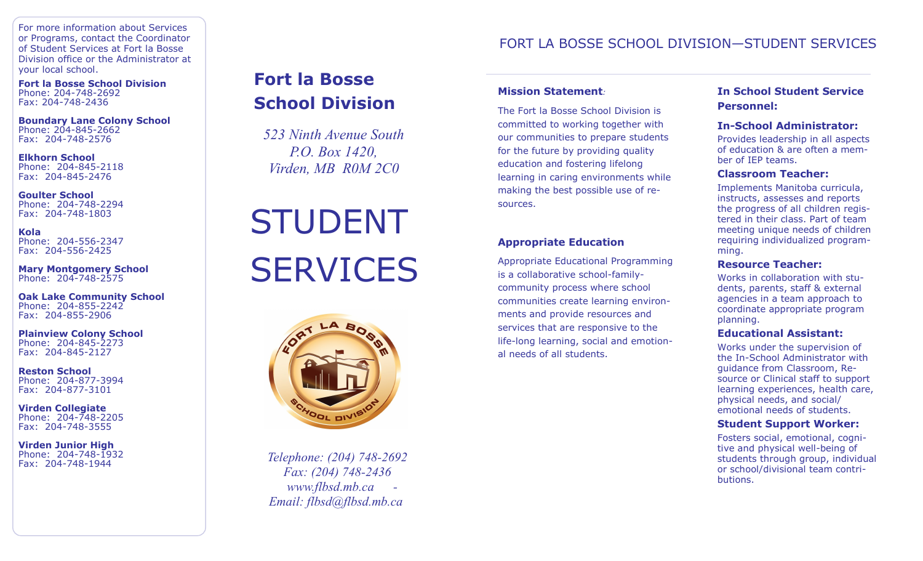For more information about Services or Programs, contact the Coordinator of Student Services at Fort la Bosse Division office or the Administrator at your local school.

**Fort la Bosse School Division** Phone: 204-748-2692 Fax: 204-748-2436

**Boundary Lane Colony School** Phone: 204-845-2662 Fax: 204-748-2576

**Elkhorn School** Phone: 204-845-2118 Fax: 204-845-2476

**Goulter School** Phone: 204-748-2294 Fax: 204-748-1803

**Kola** Phone: 204-556-2347 Fax: 204-556-2425

**Mary Montgomery School** Phone: 204-748-2575

**Oak Lake Community School** Phone: 204-855-2242 Fax: 204-855-2906

**Plainview Colony School** Phone: 204-845-2273 Fax: 204-845-2127

**Reston School** Phone: 204-877-3994 Fax: 204-877-3101

**Virden Collegiate** Phone: 204-748-2205 Fax: 204-748-3555

**Virden Junior High** Phone: 204-748-1932 Fax: 204-748-1944

# **Fort la Bosse School Division**

*523 Ninth Avenue South P.O. Box 1420, Virden, MB R0M 2C0*

# STUDENT **SERVICES**



*Telephone: (204) 748-2692 Fax: (204) 748-2436 www.flbsd.mb.ca - Email: flbsd@flbsd.mb.ca*

## FORT LA BOSSE SCHOOL DIVISION—STUDENT SERVICES

## **Mission Statement***:*

The Fort la Bosse School Division is committed to working together with our communities to prepare students for the future by providing quality education and fostering lifelong learning in caring environments while making the best possible use of resources.

## **Appropriate Education**

Appropriate Educational Programming is a collaborative school-familycommunity process where school communities create learning environments and provide resources and services that are responsive to the life-long learning, social and emotional needs of all students.

## **In School Student Service Personnel:**

## **In-School Administrator:**

Provides leadership in all aspects of education & are often a member of IEP teams.

## **Classroom Teacher:**

Implements Manitoba curricula, instructs, assesses and reports the progress of all children registered in their class. Part of team meeting unique needs of children requiring individualized programming.

#### **Resource Teacher:**

Works in collaboration with students, parents, staff & external agencies in a team approach to coordinate appropriate program planning.

#### **Educational Assistant:**

Works under the supervision of the In-School Administrator with guidance from Classroom, Resource or Clinical staff to support learning experiences, health care, physical needs, and social/ emotional needs of students.

#### **Student Support Worker:**

Fosters social, emotional, cognitive and physical well-being of students through group, individual or school/divisional team contributions.